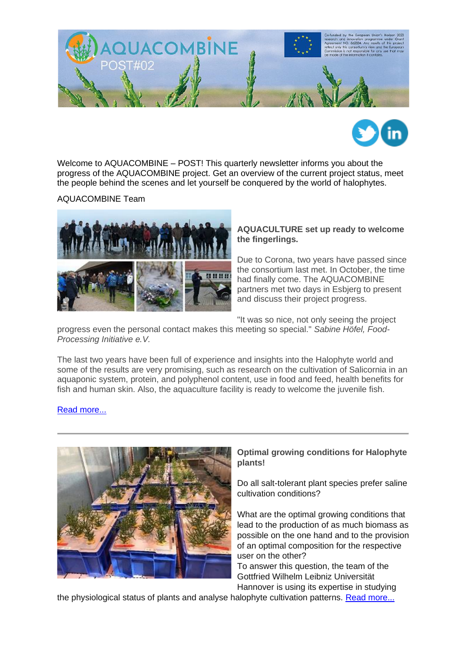



Welcome to AQUACOMBINE – POST! This quarterly newsletter informs you about the progress of the AQUACOMBINE project. Get an overview of the current project status, meet the people behind the scenes and let yourself be conquered by the world of halophytes.

AQUACOMBINE Team



## **AQUACULTURE set up ready to welcome the fingerlings.**

Due to Corona, two years have passed since the consortium last met. In October, the time had finally come. The AQUACOMBINE partners met two days in Esbjerg to present and discuss their project progress.

"It was so nice, not only seeing the project

progress even the personal contact makes this meeting so special." *Sabine Höfel, Food-Processing Initiative e.V.*

The last two years have been full of experience and insights into the Halophyte world and some of the results are very promising, such as research on the cultivation of Salicornia in an aquaponic system, protein, and polyphenol content, use in food and feed, health benefits for fish and human skin. Also, the aquaculture facility is ready to welcome the juvenile fish.

## [Read more...](https://www.aquacombine.eu/?page_id=103)



## **Optimal growing conditions for Halophyte plants!**

Do all salt-tolerant plant species prefer saline cultivation conditions?

What are the optimal growing conditions that lead to the production of as much biomass as possible on the one hand and to the provision of an optimal composition for the respective user on the other?

To answer this question, the team of the Gottfried Wilhelm Leibniz Universität Hannover is using its expertise in studying

the physiological status of plants and analyse halophyte cultivation patterns. [Read more...](https://www.aquacombine.eu/?p=993)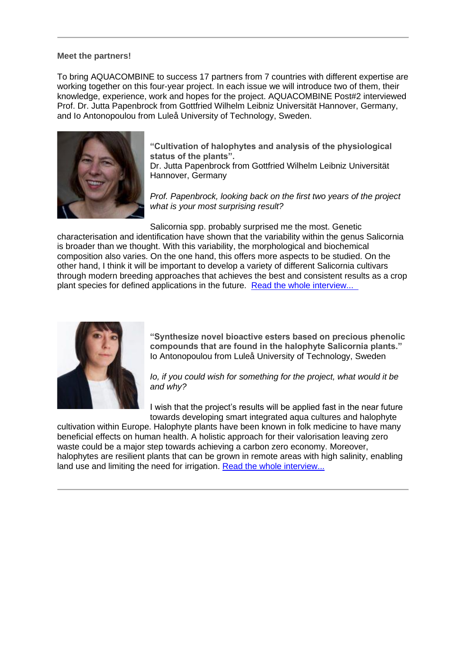## **Meet the partners!**

To bring AQUACOMBINE to success 17 partners from 7 countries with different expertise are working together on this four-year project. In each issue we will introduce two of them, their knowledge, experience, work and hopes for the project. AQUACOMBINE Post#2 interviewed Prof. Dr. Jutta Papenbrock from Gottfried Wilhelm Leibniz Universität Hannover, Germany, and Io Antonopoulou from Luleå University of Technology, Sweden.



**"Cultivation of halophytes and analysis of the physiological status of the plants".**

Dr. Jutta Papenbrock from Gottfried Wilhelm Leibniz Universität Hannover, Germany

*Prof. Papenbrock, looking back on the first two years of the project what is your most surprising result?*

Salicornia spp. probably surprised me the most. Genetic

characterisation and identification have shown that the variability within the genus Salicornia is broader than we thought. With this variability, the morphological and biochemical composition also varies. On the one hand, this offers more aspects to be studied. On the other hand, I think it will be important to develop a variety of different Salicornia cultivars through modern breeding approaches that achieves the best and consistent results as a crop plant species for defined applications in the future. Read [the whole interview...](https://www.aquacombine.eu/wp-content/uploads/2021/11/21_11_Interview_Prof.-Dr.-Jutta-Papenbrock.pdf) 



**"Synthesize novel bioactive esters based on precious phenolic compounds that are found in the halophyte Salicornia plants."** Io Antonopoulou from Luleå University of Technology, Sweden

*Io, if you could wish for something for the project, what would it be and why?*

I wish that the project's results will be applied fast in the near future towards developing smart integrated aqua cultures and halophyte

cultivation within Europe. Halophyte plants have been known in folk medicine to have many beneficial effects on human health. A holistic approach for their valorisation leaving zero waste could be a major step towards achieving a carbon zero economy. Moreover, halophytes are resilient plants that can be grown in remote areas with high salinity, enabling land use and limiting the need for irrigation. [Read the whole interview...](https://www.aquacombine.eu/wp-content/uploads/2021/11/21_11_Interview_Io-Antonopoulou.pdf)